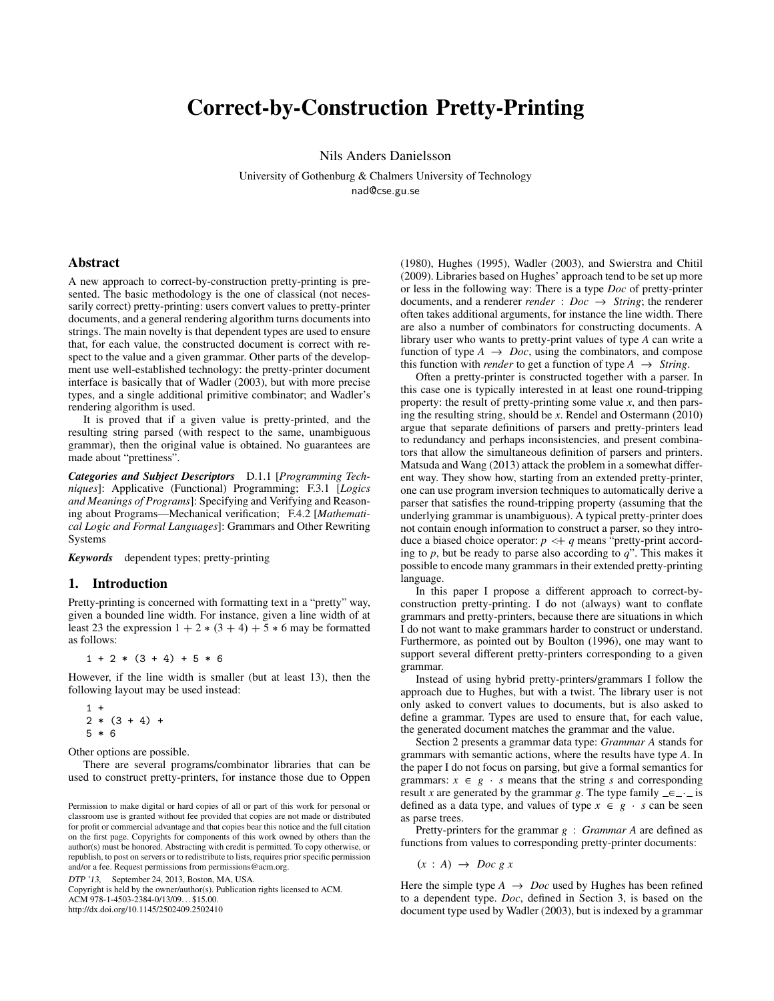# Correct-by-Construction Pretty-Printing

Nils Anders Danielsson

University of Gothenburg & Chalmers University of Technology nad@cse.gu.se

#### Abstract

A new approach to correct-by-construction pretty-printing is presented. The basic methodology is the one of classical (not necessarily correct) pretty-printing: users convert values to pretty-printer documents, and a general rendering algorithm turns documents into strings. The main novelty is that dependent types are used to ensure that, for each value, the constructed document is correct with respect to the value and a given grammar. Other parts of the development use well-established technology: the pretty-printer document interface is basically that of [Wadler](#page-11-0) [\(2003\)](#page-11-0), but with more precise types, and a single additional primitive combinator; and [Wadler'](#page-11-0)s rendering algorithm is used.

It is proved that if a given value is pretty-printed, and the resulting string parsed (with respect to the same, unambiguous grammar), then the original value is obtained. No guarantees are made about "prettiness".

*Categories and Subject Descriptors* D.1.1 [*Programming Techniques*]: Applicative (Functional) Programming; F.3.1 [*Logics and Meanings of Programs*]: Specifying and Verifying and Reasoning about Programs—Mechanical verification; F.4.2 [*Mathematical Logic and Formal Languages*]: Grammars and Other Rewriting Systems

*Keywords* dependent types; pretty-printing

## <span id="page-0-0"></span>1. Introduction

Pretty-printing is concerned with formatting text in a "pretty" way, given a bounded line width. For instance, given a line width of at least 23 the expression  $1 + 2 * (3 + 4) + 5 * 6$  may be formatted as follows:

 $1 + 2 * (3 + 4) + 5 * 6$ 

However, if the line width is smaller (but at least 13), then the following layout may be used instead:

 $1 +$  $2 * (3 + 4) +$ 5 \* 6

Other options are possible.

There are several programs/combinator libraries that can be used to construct pretty-printers, for instance those due to [Oppen](#page-10-0)

DTP '13, September 24, 2013, Boston, MA, USA.

Copyright is held by the owner/author(s). Publication rights licensed to ACM. ACM 978-1-4503-2384-0/13/09. . . \$15.00. http://dx.doi.org/10.1145/2502409.2502410

[\(1980\)](#page-10-0), [Hughes](#page-10-1) [\(1995\)](#page-10-1), [Wadler](#page-11-0) [\(2003\)](#page-11-0), and [Swierstra and Chitil](#page-11-1) [\(2009\)](#page-11-1). Libraries based on [Hughes'](#page-10-1) approach tend to be set up more or less in the following way: There is a type *Doc* of pretty-printer documents, and a renderer *render* :  $Doc \rightarrow String$ ; the renderer often takes additional arguments, for instance the line width. There are also a number of combinators for constructing documents. A library user who wants to pretty-print values of type *A* can write a function of type  $A \rightarrow Doc$ , using the combinators, and compose this function with *render* to get a function of type  $A \rightarrow String$ .

Often a pretty-printer is constructed together with a parser. In this case one is typically interested in at least one round-tripping property: the result of pretty-printing some value *x*, and then parsing the resulting string, should be *x*. [Rendel and Ostermann](#page-10-2) [\(2010\)](#page-10-2) argue that separate definitions of parsers and pretty-printers lead to redundancy and perhaps inconsistencies, and present combinators that allow the simultaneous definition of parsers and printers. [Matsuda and Wang](#page-10-3) [\(2013\)](#page-10-3) attack the problem in a somewhat different way. They show how, starting from an extended pretty-printer, one can use program inversion techniques to automatically derive a parser that satisfies the round-tripping property (assuming that the underlying grammar is unambiguous). A typical pretty-printer does not contain enough information to construct a parser, so they introduce a biased choice operator:  $p \leq q$  means "pretty-print according to *p*, but be ready to parse also according to *q*". This makes it possible to encode many grammars in their extended pretty-printing language.

In this paper I propose a different approach to correct-byconstruction pretty-printing. I do not (always) want to conflate grammars and pretty-printers, because there are situations in which I do not want to make grammars harder to construct or understand. Furthermore, as pointed out by [Boulton](#page-10-4) [\(1996\)](#page-10-4), one may want to support several different pretty-printers corresponding to a given grammar.

Instead of using hybrid pretty-printers/grammars I follow the approach due to [Hughes,](#page-10-1) but with a twist. The library user is not only asked to convert values to documents, but is also asked to define a grammar. Types are used to ensure that, for each value, the generated document matches the grammar and the value.

Section [2](#page-1-0) presents a grammar data type: *Grammar A* stands for grammars with semantic actions, where the results have type *A*. In the paper I do not focus on parsing, but give a formal semantics for grammars:  $x \in g \cdot s$  means that the string *s* and corresponding result *x* are generated by the grammar *g*. The type family  $\equiv$   $\equiv$   $\cdot$  is defined as a data type, and values of type  $x \in g \cdot s$  can be seen as parse trees.

Pretty-printers for the grammar *g* : *Grammar A* are defined as functions from values to corresponding pretty-printer documents:

 $(x : A) \rightarrow Doc g x$ 

Here the simple type  $A \rightarrow Doc$  used by [Hughes](#page-10-1) has been refined to a dependent type. *Doc*, defined in Section [3,](#page-2-0) is based on the document type used by [Wadler](#page-11-0) [\(2003\)](#page-11-0), but is indexed by a grammar

Permission to make digital or hard copies of all or part of this work for personal or classroom use is granted without fee provided that copies are not made or distributed for profit or commercial advantage and that copies bear this notice and the full citation on the first page. Copyrights for components of this work owned by others than the author(s) must be honored. Abstracting with credit is permitted. To copy otherwise, or republish, to post on servers or to redistribute to lists, requires prior specific permission and/or a fee. Request permissions from permissions@acm.org.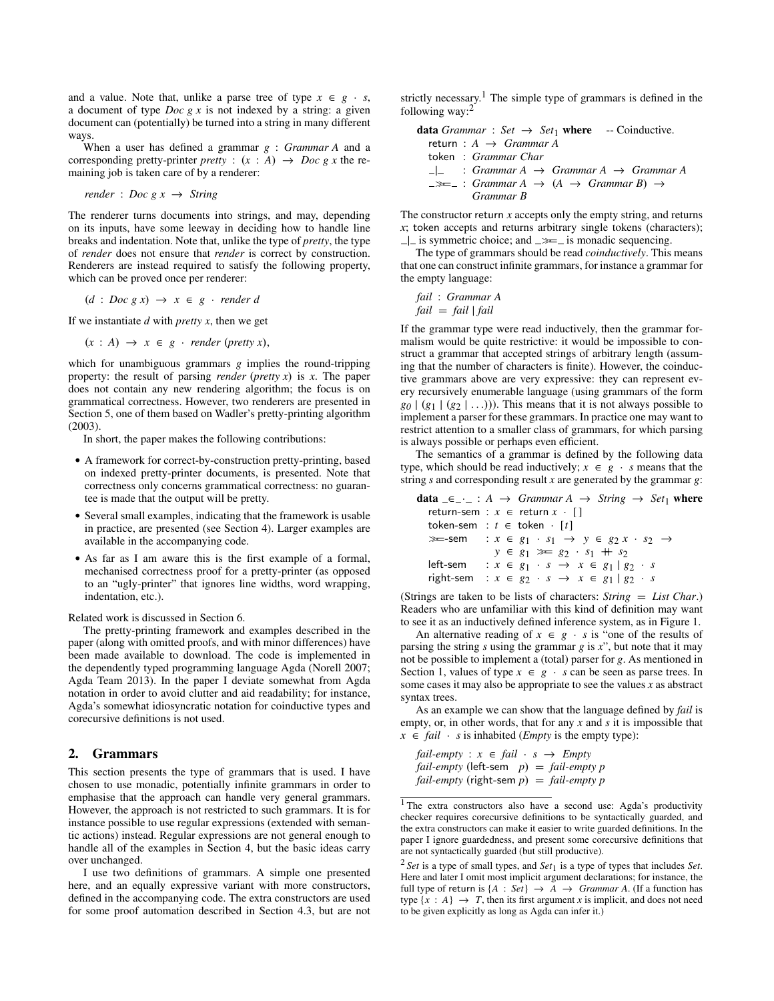and a value. Note that, unlike a parse tree of type  $x \in g \cdot s$ , a document of type *Doc g x* is not indexed by a string: a given document can (potentially) be turned into a string in many different ways.

When a user has defined a grammar *g* : *Grammar A* and a corresponding pretty-printer *pretty* :  $(x : A) \rightarrow Doc \ g \ x$  the remaining job is taken care of by a renderer:

$$
render: Doc \t g \t x \rightarrow String
$$

The renderer turns documents into strings, and may, depending on its inputs, have some leeway in deciding how to handle line breaks and indentation. Note that, unlike the type of *pretty*, the type of *render* does not ensure that *render* is correct by construction. Renderers are instead required to satisfy the following property, which can be proved once per renderer:

 $(d : Doc g x) \rightarrow x \in g \cdot render d$ 

If we instantiate *d* with *pretty x*, then we get

 $(x : A) \rightarrow x \in g \cdot \text{render (prefty x)},$ 

which for unambiguous grammars *g* implies the round-tripping property: the result of parsing *render* (*pretty x*) is *x*. The paper does not contain any new rendering algorithm; the focus is on grammatical correctness. However, two renderers are presented in Section [5,](#page-7-0) one of them based on [Wadler'](#page-11-0)s pretty-printing algorithm [\(2003\)](#page-11-0).

In short, the paper makes the following contributions:

- A framework for correct-by-construction pretty-printing, based on indexed pretty-printer documents, is presented. Note that correctness only concerns grammatical correctness: no guarantee is made that the output will be pretty.
- Several small examples, indicating that the framework is usable in practice, are presented (see Section [4\)](#page-3-0). Larger examples are available in the accompanying code.
- As far as I am aware this is the first example of a formal, mechanised correctness proof for a pretty-printer (as opposed to an "ugly-printer" that ignores line widths, word wrapping, indentation, etc.).

Related work is discussed in Section [6.](#page-9-0)

The pretty-printing framework and examples described in the paper (along with omitted proofs, and with minor differences) have been made available to download. The code is implemented in the dependently typed programming language Agda [\(Norell 2007;](#page-10-5) [Agda Team 2013\)](#page-10-6). In the paper I deviate somewhat from Agda notation in order to avoid clutter and aid readability; for instance, Agda's somewhat idiosyncratic notation for coinductive types and corecursive definitions is not used.

## <span id="page-1-0"></span>2. Grammars

This section presents the type of grammars that is used. I have chosen to use monadic, potentially infinite grammars in order to emphasise that the approach can handle very general grammars. However, the approach is not restricted to such grammars. It is for instance possible to use regular expressions (extended with semantic actions) instead. Regular expressions are not general enough to handle all of the examples in Section [4,](#page-3-0) but the basic ideas carry over unchanged.

I use two definitions of grammars. A simple one presented here, and an equally expressive variant with more constructors, defined in the accompanying code. The extra constructors are used for some proof automation described in Section [4.3,](#page-5-0) but are not

strictly necessary.[1](#page-1-1) The simple type of grammars is defined in the following way:[2](#page-1-2)

**data** *Grammar* : *Set* → *Set*<sub>1</sub> **where** -- Coinductive.  
\nreturn : 
$$
A \rightarrow Grammar A
$$
  
\ntoken : *Grammar Char*  
\n $-\vert \_$  : *Grammar A* → *Grammar A* → *Grammar A*  
\n $\Rightarrow \_$  : *Grammar A* → (*A* → *Grammar B*) →  
\n*Grammar B*

The constructor return *x* accepts only the empty string, and returns *x*; token accepts and returns arbitrary single tokens (characters);  $\Box$  is symmetric choice; and  $\equiv \equiv$  is monadic sequencing.

The type of grammars should be read *coinductively*. This means that one can construct infinite grammars, for instance a grammar for the empty language:

*fail* : *Grammar A fail* = *fail* | *fail*

If the grammar type were read inductively, then the grammar formalism would be quite restrictive: it would be impossible to construct a grammar that accepted strings of arbitrary length (assuming that the number of characters is finite). However, the coinductive grammars above are very expressive: they can represent every recursively enumerable language (using grammars of the form  $g_0$  |  $(g_1$  |  $(g_2$  | ...))). This means that it is not always possible to implement a parser for these grammars. In practice one may want to restrict attention to a smaller class of grammars, for which parsing is always possible or perhaps even efficient.

The semantics of a grammar is defined by the following data type, which should be read inductively;  $x \in g \cdot s$  means that the string *s* and corresponding result *x* are generated by the grammar *g*:

|          | <b>data</b> $\equiv$ $\equiv$ $\equiv$ $\therefore$ A $\rightarrow$ <i>Grammar A <math>\rightarrow</math> String <math>\rightarrow</math> Set</i> <sub>1</sub> where |
|----------|----------------------------------------------------------------------------------------------------------------------------------------------------------------------|
|          | return-sem : $x \in$ return $x \cdot [$                                                                                                                              |
|          | token-sem : $t \in$ token $\cdot$ [t]                                                                                                                                |
|          | $\gg$ -sem : $x \in g_1 \cdot s_1 \rightarrow y \in g_2 x \cdot s_2 \rightarrow$                                                                                     |
|          | $y \in g_1 \gg g_2 \cdot s_1 + s_2$                                                                                                                                  |
| left-sem | $x \in g_1 \cdot s \rightarrow x \in g_1   g_2 \cdot s$                                                                                                              |
|          | right-sem : $x \in g_2 \cdot s \rightarrow x \in g_1 \mid g_2 \cdot s$                                                                                               |

(Strings are taken to be lists of characters: *String* = *List Char*.) Readers who are unfamiliar with this kind of definition may want to see it as an inductively defined inference system, as in Figure [1.](#page-2-1)

An alternative reading of  $x \in g \cdot s$  is "one of the results of parsing the string *s* using the grammar *g* is *x*", but note that it may not be possible to implement a (total) parser for *g*. As mentioned in Section [1,](#page-0-0) values of type  $x \in g \cdot s$  can be seen as parse trees. In some cases it may also be appropriate to see the values *x* as abstract syntax trees.

As an example we can show that the language defined by *fail* is empty, or, in other words, that for any *x* and *s* it is impossible that  $x \in \text{fail} \cdot s$  is inhabited (*Empty* is the empty type):

 $fail$ *-empty* :  $x \in fail \cdot s \rightarrow Empty$ *fail-empty* (left-sem *p*) = *fail-empty p fail-empty* (right-sem *p*) = *fail-empty p*

<span id="page-1-1"></span><sup>&</sup>lt;sup>1</sup> The extra constructors also have a second use: Agda's productivity checker requires corecursive definitions to be syntactically guarded, and the extra constructors can make it easier to write guarded definitions. In the paper I ignore guardedness, and present some corecursive definitions that are not syntactically guarded (but still productive).

<span id="page-1-2"></span><sup>2</sup> *Set* is a type of small types, and *Set*<sup>1</sup> is a type of types that includes *Set*. Here and later I omit most implicit argument declarations; for instance, the full type of return is  $\{A : Set\} \rightarrow \overline{A} \rightarrow Grammar A$ . (If a function has type  $\{x : A\} \rightarrow T$ , then its first argument *x* is implicit, and does not need to be given explicitly as long as Agda can infer it.)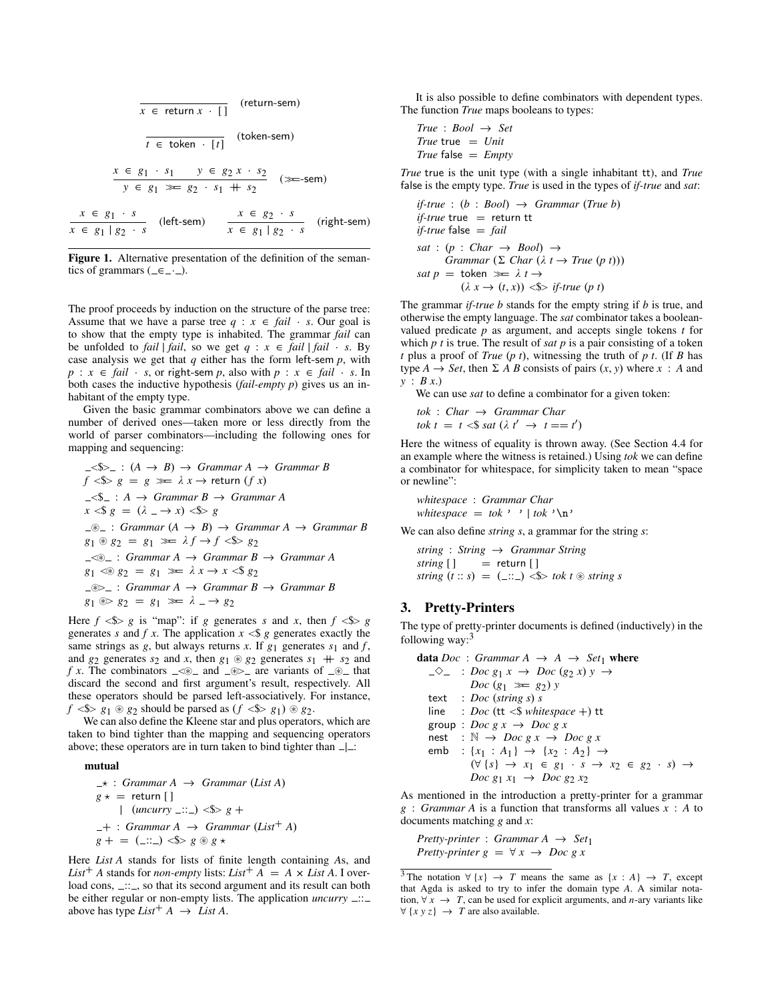$$
x \in return x \cdot [ ]
$$
 (return-sem)  
\n
$$
t \in token \cdot [t]
$$
 (token-sem)  
\n
$$
x \in g_1 \cdot s_1 \quad y \in g_2 \cdot s_1 + s_2
$$
 (3=sem)  
\n
$$
x \in g_1 \cdot s
$$
 (left-sem)  
\n
$$
x \in g_1 \cdot s
$$
 (left-sem)  
\n
$$
x \in g_1 | g_2 \cdot s
$$
 (right-sem)

<span id="page-2-1"></span>Figure 1. Alternative presentation of the definition of the semantics of grammars ( $=\equiv -1$ ).

The proof proceeds by induction on the structure of the parse tree: Assume that we have a parse tree  $q : x \in \text{fail} \cdot s$ . Our goal is to show that the empty type is inhabited. The grammar *fail* can be unfolded to *fail* | *fail*, so we get  $q : x \in \overline{f}$ *ail* | *fail* · *s*. By case analysis we get that *q* either has the form left-sem *p*, with  $p : x \in \text{fail} \cdot s$ , or right-sem *p*, also with  $p : x \in \text{fail} \cdot s$ . In both cases the inductive hypothesis (*fail-empty p*) gives us an inhabitant of the empty type.

Given the basic grammar combinators above we can define a number of derived ones—taken more or less directly from the world of parser combinators—including the following ones for mapping and sequencing:

$$
-\langle \$\rangle_{-} : (A \to B) \to Grammar A \to Grammar B
$$
\n
$$
f \langle \$\rangle_{g} = g \ggg \lambda x \to return (f x)
$$
\n
$$
-\langle \$\rangle_{-} : A \to Grammar B \to Grammar A
$$
\n
$$
x \langle \$\rangle_{g} = (\lambda \to x) \langle \$\rangle_{g}
$$
\n
$$
-\langle \$\rangle_{-} : Grammar (A \to B) \to Grammar A \to Grammar B
$$
\n
$$
g_1 \circledast g_2 = g_1 \ggg \lambda f \to f \langle \$\rangle_{g_2}
$$
\n
$$
-\langle \$\rangle_{-} : Grammar A \to Grammar B \to Grammar A
$$
\n
$$
g_1 \langle \$\rangle_{g_2} = g_1 \ggg \lambda x \to x \langle \$\rangle_{g_2}
$$
\n
$$
-\langle \$\rangle_{-} : Grammar A \to Grammar B \to Grammar B
$$
\n
$$
g_1 \langle \$\rangle_{g_2} = g_1 \ggg \lambda x \to x \langle \$\rangle_{g_2}
$$
\n
$$
-\langle \$\rangle_{-} : Grammar A \to Grammar B \to Grammar B
$$
\n
$$
g_1 \langle \$\rangle_{g_2} = g_1 \ggg \lambda \to g_2
$$

Here  $f \le s > g$  is "map": if *g* generates *s* and *x*, then  $f \le s > g$ generates *s* and *f x*. The application  $x \leq s$  *g* generates exactly the same strings as  $g$ , but always returns  $x$ . If  $g_1$  generates  $s_1$  and  $f$ , and  $g_2$  generates  $s_2$  and  $x$ , then  $g_1 \otimes g_2$  generates  $s_1 + s_2$  and *f x*. The combinators  $\leq x \leq \infty$  and  $\leq x \geq 0$  are variants of  $\leq x$  that discard the second and first argument's result, respectively. All these operators should be parsed left-associatively. For instance,  $f \leq s$   $g_1 \circ g_2$  should be parsed as  $(f \leq s$   $g_1) \circ g_2$ .

We can also define the Kleene star and plus operators, which are taken to bind tighter than the mapping and sequencing operators above; these operators are in turn taken to bind tighter than  $\Box$ :

#### mutual

? : *Grammar A* → *Grammar* (*List A*) *g* ? = return [ ] | (*uncurry* :: ) <\$> *g* + <sup>+</sup> : *Grammar A* <sup>→</sup> *Grammar* (*List*<sup>+</sup> *<sup>A</sup>*) *g* + = ( :: ) <\$> *g* ~ *g* ?

Here *List A* stands for lists of finite length containing *A*s, and *List*<sup>+</sup> *A* stands for *non-empty* lists: *List*<sup>+</sup> *A* = *A* × *List A*. I overload cons, ...., so that its second argument and its result can both be either regular or non-empty lists. The application *uncurry*  $\ldots$ above has type  $List^+ A \rightarrow List A$ .

It is also possible to define combinators with dependent types. The function *True* maps booleans to types:

$$
True : Bool \rightarrow Set
$$
  

$$
True \text{ true } = Unit
$$
  

$$
True \text{ false } = Empty
$$

*True* true is the unit type (with a single inhabitant tt), and *True* false is the empty type. *True* is used in the types of *if-true* and *sat*:

if-true : (b : *Bool*) 
$$
\rightarrow
$$
 Grammar (True b)  
if-true true = return it  
if-true false = fail  
sat : (p : Char  $\rightarrow$  Bool)  $\rightarrow$   
Grammar ( $\Sigma$  Char ( $\lambda t \rightarrow True (p t)$ ))  
sat  $p$  = token  $\gg$   $\lambda t \rightarrow$   
( $\lambda x \rightarrow (t, x)$ )  $\ll$   $\gg$  if-true (p t)

The grammar *if-true b* stands for the empty string if *b* is true, and otherwise the empty language. The *sat* combinator takes a booleanvalued predicate *p* as argument, and accepts single tokens *t* for which *p t* is true. The result of *sat p* is a pair consisting of a token *t* plus a proof of *True* (*p t*), witnessing the truth of *p t*. (If *B* has type  $A \rightarrow Set$ , then  $\Sigma A B$  consists of pairs  $(x, y)$  where  $x : A$  and *y* : *B x*.)

We can use *sat* to define a combinator for a given token:

*tok* : *Char* → *Grammar Char tok*  $t = t \leq s$  *sat*  $(\lambda t' \rightarrow t == t')$ 

Here the witness of equality is thrown away. (See Section [4.4](#page-6-0) for an example where the witness is retained.) Using *tok* we can define a combinator for whitespace, for simplicity taken to mean "space or newline":

*whitespace* : *Grammar Char whitespace* =  $tok$  ' ' |  $tok$  ' \n'

We can also define *string s*, a grammar for the string *s*:

*string* : *String* → *Grammar String*  $string [ ]$  = return [] *string*  $(t:: s) = ($ :::...) <\\\\ *string s* 

### <span id="page-2-0"></span>3. Pretty-Printers

The type of pretty-printer documents is defined (inductively) in the following way: $3$ 

data *Doc* : *Grammar A*  $\rightarrow$  *A*  $\rightarrow$  *Set*<sub>1</sub> where  $\Rightarrow$   $\Rightarrow$  *i Doc g*<sub>1</sub>  $x \rightarrow$  *Doc (g*<sub>2</sub>  $x$ )  $y \rightarrow$ *Doc*  $(g_1 \gg g_2) y$ text : *Doc* (*string s*) *s* line : *Doc* (tt <\$ *whitespace* +) tt group : *Doc g x*  $\rightarrow$  *Doc g x* nest :  $\mathbb{N} \to \text{Doc } g \text{ } x \to \text{Doc } g \text{ } x$ emb : { $x_1$  :  $A_1$ } → { $x_2$  :  $A_2$ } → (∀ {*s*} → *x*<sup>1</sup> ∈ *g*<sup>1</sup> · *s* → *x*<sup>2</sup> ∈ *g*<sup>2</sup> · *s*) → *Doc*  $g_1 x_1 \to Doc g_2 x_2$ 

As mentioned in the introduction a pretty-printer for a grammar *g* : *Grammar A* is a function that transforms all values *x* : *A* to documents matching *g* and *x*:

*Pretty-printer* : *Grammar A*  $\rightarrow$  *Set*<sub>1</sub> *Pretty-printer g* =  $\forall x \rightarrow Doc g x$ 

<span id="page-2-2"></span><sup>&</sup>lt;sup>3</sup>The notation  $\forall \{x\} \rightarrow T$  means the same as  $\{x : A\} \rightarrow T$ , except that Agda is asked to try to infer the domain type *A*. A similar notation,  $\forall x \rightarrow T$ , can be used for explicit arguments, and *n*-ary variants like  $\forall \{x \, y \, z\} \rightarrow T$  are also available.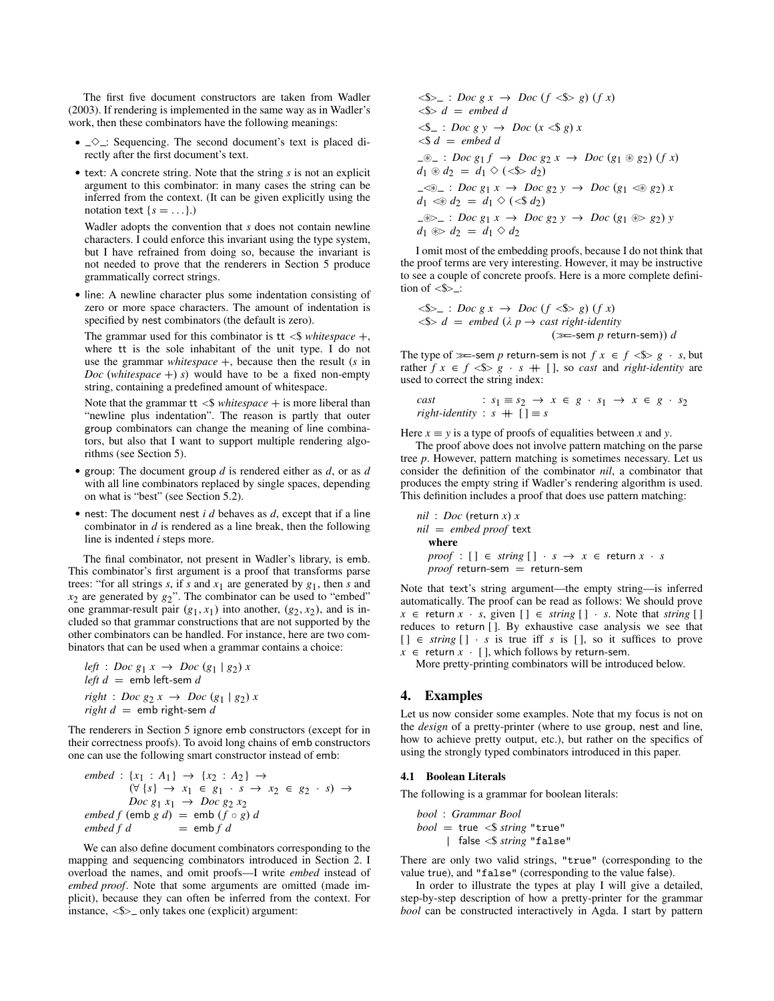The first five document constructors are taken from [Wadler](#page-11-0) [\(2003\)](#page-11-0). If rendering is implemented in the same way as in [Wadler'](#page-11-0)s work, then these combinators have the following meanings:

- $\sim$   $\sim$  : Sequencing. The second document's text is placed directly after the first document's text.
- text: A concrete string. Note that the string *s* is not an explicit argument to this combinator: in many cases the string can be inferred from the context. (It can be given explicitly using the notation text  ${s = ...}$ .

[Wadler](#page-11-0) adopts the convention that *s* does not contain newline characters. I could enforce this invariant using the type system, but I have refrained from doing so, because the invariant is not needed to prove that the renderers in Section [5](#page-7-0) produce grammatically correct strings.

• line: A newline character plus some indentation consisting of zero or more space characters. The amount of indentation is specified by nest combinators (the default is zero).

The grammar used for this combinator is  $tt <$ \$ *whitespace* +, where tt is the sole inhabitant of the unit type. I do not use the grammar *whitespace* +, because then the result (*s* in *Doc* (*whitespace* +) *s*) would have to be a fixed non-empty string, containing a predefined amount of whitespace.

Note that the grammar  $tt <$ \$ *whitespace* + is more liberal than "newline plus indentation". The reason is partly that outer group combinators can change the meaning of line combinators, but also that I want to support multiple rendering algorithms (see Section [5\)](#page-7-0).

- group: The document group *d* is rendered either as *d*, or as *d* with all line combinators replaced by single spaces, depending on what is "best" (see Section [5.2\)](#page-7-1).
- nest: The document nest *i d* behaves as *d*, except that if a line combinator in *d* is rendered as a line break, then the following line is indented *i* steps more.

The final combinator, not present in [Wadler'](#page-11-0)s library, is emb. This combinator's first argument is a proof that transforms parse trees: "for all strings  $s$ , if  $s$  and  $x_1$  are generated by  $g_1$ , then  $s$  and  $x_2$  are generated by  $g_2$ ". The combinator can be used to "embed" one grammar-result pair  $(g_1, x_1)$  into another,  $(g_2, x_2)$ , and is included so that grammar constructions that are not supported by the other combinators can be handled. For instance, here are two combinators that can be used when a grammar contains a choice:

left: 
$$
Doc\ g_1 x \rightarrow Doc\ (g_1 \mid g_2) x
$$
  
\nleft  $d = emb\ left\text{-sem } d$   
\nright:  $Doc\ g_2 x \rightarrow Doc\ (g_1 \mid g_2) x$   
\nright  $d = emb\ right\text{-sem } d$ 

The renderers in Section [5](#page-7-0) ignore emb constructors (except for in their correctness proofs). To avoid long chains of emb constructors one can use the following smart constructor instead of emb:

$$
embed: \{x_1 : A_1\} \rightarrow \{x_2 : A_2\} \rightarrow
$$
  
\n
$$
(\forall \{s\} \rightarrow x_1 \in g_1 \cdot s \rightarrow x_2 \in g_2 \cdot s) \rightarrow
$$
  
\n
$$
Doc \, g_1 \, x_1 \rightarrow Doc \, g_2 \, x_2
$$
  
\n
$$
embed \, f \, (emb \, g \, d) = emb \, (f \circ g) \, d
$$
  
\n
$$
embed \, f \, d = emb \, f \, d
$$

We can also define document combinators corresponding to the mapping and sequencing combinators introduced in Section [2.](#page-1-0) I overload the names, and omit proofs—I write *embed* instead of *embed proof*. Note that some arguments are omitted (made implicit), because they can often be inferred from the context. For instance,  $\langle$  \$> only takes one (explicit) argument:

$$
\langle\$\rangle_{-}: \text{Doc } g \ x \to \text{Doc } (f \ \langle\$\rangle \ g) (f \ x)
$$
\n
$$
\langle\$\rangle \ d = embed \ d
$$
\n
$$
\langle\$\_ \ \cdot \ g \ \rangle \to \text{Doc } (x \ \langle\$\, g \ \rangle \ x
$$
\n
$$
\langle\$\, d = embed \ d
$$
\n
$$
\langle\$\_ \ \cdot \ g \ \rangle \to \text{Doc } (x \ \langle\$\, g \ \rangle \ x
$$
\n
$$
\langle\$\, d = embed \ d
$$
\n
$$
\langle\$\_ \ \cdot \ g \ \rangle \to \text{Doc } (g_1 \otimes g_2) (f \ x)
$$
\n
$$
d_1 \otimes d_2 = d_1 \ \langle\ (\langle\$\, g \ \rangle \ g \ \rangle \to \text{Doc } (g_1 \ \langle\$\, g \ \rangle \ x)
$$
\n
$$
d_1 \ \langle\$\, d_2 = d_1 \ \langle\ (\langle\$\, d_2\rangle)
$$
\n
$$
\langle\$\_ \ \cdot \ g \ \rangle \to \text{Doc } (g_1 \otimes g_2) \ y
$$
\n
$$
d_1 \otimes d_2 = d_1 \ \langle\ (\langle\$\, d_2\rangle)
$$
\n
$$
\langle\$\_ \ \cdot \ g \ \rangle \to \text{Doc } (g_1 \otimes g_2) \ y
$$
\n
$$
d_1 \otimes d_2 = d_1 \ \langle\ d_2
$$

I omit most of the embedding proofs, because I do not think that the proof terms are very interesting. However, it may be instructive to see a couple of concrete proofs. Here is a more complete definition of  $\leq$ \$ $\geq$ .:

$$
\langle \$ \rangle_{-} : Doc \, g \, x \to Doc \, (f \, \langle \$ \rangle \, g) \, (f \, x)
$$
\n
$$
\langle \$ \rangle \, d = embed \, (\lambda \, p \to cast \, right \, identity \, (\gg=sem \, p \, return-sem)) \, d
$$

The type of  $\equiv$ -sem *p* return-sem is not  $f \times f \leq f \leq g \cdot s$ , but rather  $f \times f \leq f \leq s$ ,  $g \cdot f + [$ , so *cast* and *right-identity* are used to correct the string index:

\n
$$
\text{cast} : s_1 \equiv s_2 \rightarrow x \in g \cdot s_1 \rightarrow x \in g \cdot s_2
$$
\n

\n\n $\text{right-identity} : s + [1] \equiv s$ \n

Here  $x \equiv y$  is a type of proofs of equalities between x and y.

The proof above does not involve pattern matching on the parse tree *p*. However, pattern matching is sometimes necessary. Let us consider the definition of the combinator *nil*, a combinator that produces the empty string if [Wadler'](#page-11-0)s rendering algorithm is used. This definition includes a proof that does use pattern matching:

$$
nil: Doc (return x) x
$$
  
\n
$$
nil = embed proof text
$$
  
\nwhere  
\n
$$
proof: [] \in string [] \cdot s \rightarrow x \in return x \cdot s
$$
  
\n
$$
proof return-sem = return-sem
$$

Note that text's string argument—the empty string—is inferred automatically. The proof can be read as follows: We should prove  $x \in$  return  $x \cdot s$ , given  $\begin{bmatrix} \end{bmatrix} \in$  *string*  $\begin{bmatrix} \end{bmatrix} \cdot s$ . Note that *string*  $\begin{bmatrix} \end{bmatrix}$ reduces to return [ ]. By exhaustive case analysis we see that  $[ ] \in string [ ] \cdot s$  is true iff *s* is [], so it suffices to prove  $x \in$  return  $x \cdot$  [ ], which follows by return-sem.

More pretty-printing combinators will be introduced below.

#### <span id="page-3-0"></span>4. Examples

Let us now consider some examples. Note that my focus is not on the *design* of a pretty-printer (where to use group, nest and line, how to achieve pretty output, etc.), but rather on the specifics of using the strongly typed combinators introduced in this paper.

#### 4.1 Boolean Literals

The following is a grammar for boolean literals:

*bool* : *Grammar Bool bool* = true <\$ *string* "true" | false <\$ *string* "false"

There are only two valid strings, "true" (corresponding to the value true), and "false" (corresponding to the value false).

In order to illustrate the types at play I will give a detailed, step-by-step description of how a pretty-printer for the grammar *bool* can be constructed interactively in Agda. I start by pattern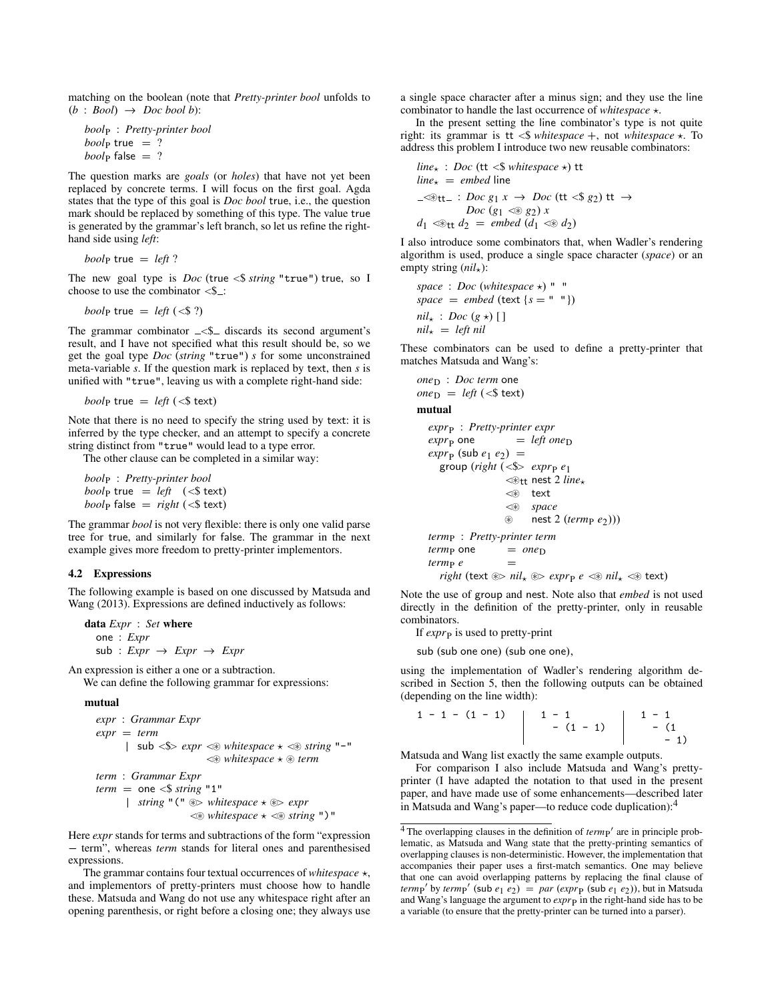matching on the boolean (note that *Pretty-printer bool* unfolds to  $(b : Bool \rightarrow Doc bool b)$ :

*bool*<sup>P</sup> : *Pretty-printer bool*  $\textit{bool}_{\text{P}}$  true = ?  $bool_{\text{P}}$  false  $= ?$ 

The question marks are *goals* (or *holes*) that have not yet been replaced by concrete terms. I will focus on the first goal. Agda states that the type of this goal is *Doc bool* true, i.e., the question mark should be replaced by something of this type. The value true is generated by the grammar's left branch, so let us refine the righthand side using *left*:

 $\textit{bool}_{\text{P}}$  true = *left* ?

The new goal type is *Doc* (true <\$ *string* "true") true, so I choose to use the combinator  $\leq$ \$.

$$
boolp true = left (<\$ ?)
$$

The grammar combinator  $\angle$   $\uparrow$  discards its second argument's result, and I have not specified what this result should be, so we get the goal type *Doc* (*string* "true") *s* for some unconstrained meta-variable *s*. If the question mark is replaced by text, then *s* is unified with "true", leaving us with a complete right-hand side:

*booly* true =  $left \( \langle \$ \text{text} \rangle \right)$ 

Note that there is no need to specify the string used by text: it is inferred by the type checker, and an attempt to specify a concrete string distinct from "true" would lead to a type error.

The other clause can be completed in a similar way:

*bool*<sup>P</sup> : *Pretty-printer bool bool*<sub>p</sub> true = *left*  $(\leq$  **text**)  $\textit{bool}_{\text{P}}$  false =  $\textit{right}$  (<\$ text)

The grammar *bool* is not very flexible: there is only one valid parse tree for true, and similarly for false. The grammar in the next example gives more freedom to pretty-printer implementors.

#### <span id="page-4-1"></span>4.2 Expressions

The following example is based on one discussed by [Matsuda and](#page-10-3) [Wang](#page-10-3) [\(2013\)](#page-10-3). Expressions are defined inductively as follows:

```
data Expr : Set where
   one : Expr
   sub : <i>Expr</i> \rightarrow <i>Expr</i> \rightarrow <i>Expr</i>
```
An expression is either a one or a subtraction.

We can define the following grammar for expressions:

mutual

*expr* : *Grammar Expr expr* = *term* |  $\text{sub} < \text{\$} > \text{expr} < \text{\$} \text{whitespace} \star \textless \text{\$} \text{string}$  "-"  $\ll$  *whitespace*  $\star \otimes$  *term term* : *Grammar Expr*  $term = one < $ string "1"$ | *string*  $\sqrt{''}$  ( $\sqrt{''}$   $\gg$  *whitespace*  $\star$   $\gg$  *expr*  $\ll$  *whitespace*  $\star$   $\ll$  *string* ")"

Here *expr* stands for terms and subtractions of the form "expression − term", whereas *term* stands for literal ones and parenthesised expressions.

The grammar contains four textual occurrences of *whitespace*  $\star$ , and implementors of pretty-printers must choose how to handle these. [Matsuda and Wang](#page-10-3) do not use any whitespace right after an opening parenthesis, or right before a closing one; they always use a single space character after a minus sign; and they use the line combinator to handle the last occurrence of *whitespace*  $\star$ .

In the present setting the line combinator's type is not quite right: its grammar is  $tt <$ \$ *whitespace* +, not *whitespace*  $\star$ . To address this problem I introduce two new reusable combinators:

$$
linex : Doc (tt  $\leq$  whitespace  $\star$ ) tt  
\nline<sub>x</sub> = embed line  
\n
$$
\neg\circledast
$$
tt= : Doc g<sub>1</sub> x → Doc (tt  $\leq$  § 2) tt →  
\nDoc (g<sub>1</sub>  $\leq$  § g<sub>2</sub>) x  
\nd<sub>1</sub>  $\leq$ tt d<sub>2</sub> = embed (d<sub>1</sub>  $\leq$  ∅ d<sub>2</sub>)
$$

I also introduce some combinators that, when [Wadler'](#page-11-0)s rendering algorithm is used, produce a single space character (*space*) or an empty string  $(nil_{\star})$ :

 $space: Doc (whitespace \star)$  " " *space* = *embed* (text  $\{s = ""\right)$ )  $nil_{\star}: Doc(g_{\star})$  [ ]  $nil_{\star} = left$  *nil* 

These combinators can be used to define a pretty-printer that matches [Matsuda and Wang'](#page-10-3)s:

```
oneD : Doc term one
one_D = left \, (<\text{$ text})
```
#### mutual

```
exprP
: Pretty-printer expr
\exp r_{\rm p} one = left one<sub>D</sub>
\exp(r_P \left(\text{sub } e_1 e_2\right)) =
   group (right (<$> exprP
e1
                    \ll_{\text{tt}} nest 2 line_{\star}\ll text
                    <~ space
                    ~ nest 2 (termP e2)))
termP : Pretty-printer term
term_{\rm P} one = one_{\rm D}
```
 $term_{P} e$  =  $right (text \circled{*} > nil_{\star} \circledast > expr_{P} e \leqledast nil_{\star} \leqledast text)$ 

Note the use of group and nest. Note also that *embed* is not used directly in the definition of the pretty-printer, only in reusable combinators.

If *expr*<sub>P</sub> is used to pretty-print

sub (sub one one) (sub one one),

using the implementation of [Wadler'](#page-11-0)s rendering algorithm described in Section [5,](#page-7-0) then the following outputs can be obtained (depending on the line width):

$$
\begin{array}{c|cccc}\n1 & -1 & -1 & -1 & -1 & -1 & -1 \\
 & & -1 & -1 & -1 & -1 \\
 & & -1 & -1 & -1\n\end{array}
$$

[Matsuda and Wang](#page-10-3) list exactly the same example outputs.

For comparison I also include [Matsuda and Wang'](#page-10-3)s prettyprinter (I have adapted the notation to that used in the present paper, and have made use of some enhancements—described later in [Matsuda and Wang'](#page-10-3)s paper—to reduce code duplication):[4](#page-4-0)

<span id="page-4-0"></span> $\overline{4}$  The overlapping clauses in the definition of  $term P'$  are in principle problematic, as [Matsuda and Wang](#page-10-3) state that the pretty-printing semantics of overlapping clauses is non-deterministic. However, the implementation that accompanies their paper uses a first-match semantics. One may believe that one can avoid overlapping patterns by replacing the final clause of *termp'* by *termp'* (sub  $e_1$   $e_2$ ) = *par* (*expr*<sub>P</sub> (sub  $e_1$   $e_2$ )), but in [Matsuda](#page-10-3) [and Wang'](#page-10-3)s language the argument to *expr* in the right-hand side has to be a variable (to ensure that the pretty-printer can be turned into a parser).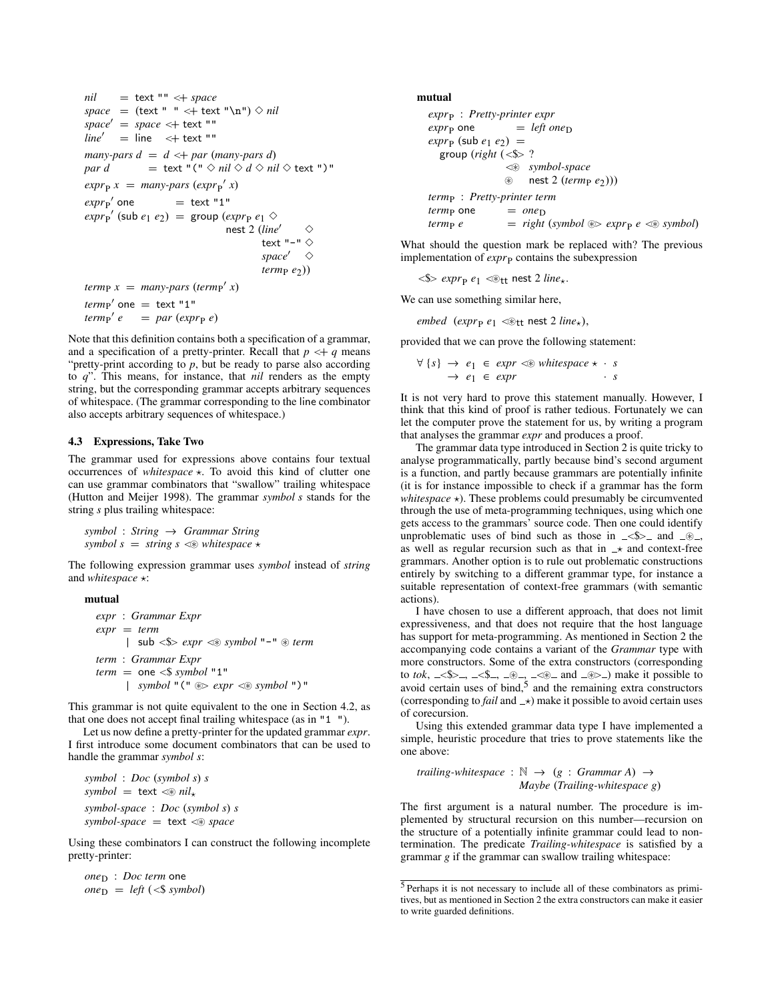```
nil = text "" <+ space
space = (text " " <+ text " \n") \lozenge nilspace' = space \leftarrow text ""
line' = line \lt+ text ""
many-pars d = d \leq d d many-pars d)
par d = text "(" \diamond nil \diamond d \diamond nil \diamond text ")"
\exp(r_P x) = \text{many-pars } (\exp(r_P x))expr<sub>P</sub>' one
                = text "1"
\exp r_{\rm P}' (sub e_1 e_2) = group (\exp r_{\rm P} e_1 \diamondnest 2 (line' \Diamondtext "-" \diamondspace<sup>\Diamond</sup>
                                                termp e<sub>2</sub>))
term<sub>P</sub> x = many-pars (term<sub>P</sub>' x)term_{P}' one = text "1"
term_{P}<sup>e</sup> = par (expr<sub>P</sub> e)
```
Note that this definition contains both a specification of a grammar, and a specification of a pretty-printer. Recall that  $p \leq +q$  means "pretty-print according to  $p$ , but be ready to parse also according to *q*". This means, for instance, that *nil* renders as the empty string, but the corresponding grammar accepts arbitrary sequences of whitespace. (The grammar corresponding to the line combinator also accepts arbitrary sequences of whitespace.)

#### <span id="page-5-0"></span>4.3 Expressions, Take Two

The grammar used for expressions above contains four textual occurrences of *whitespace* ?. To avoid this kind of clutter one can use grammar combinators that "swallow" trailing whitespace [\(Hutton and Meijer 1998\)](#page-10-7). The grammar *symbol s* stands for the string *s* plus trailing whitespace:

*symbol* : *String* → *Grammar String symbol*  $s =$  *string*  $s \ll v$  *whitespace*  $\star$ 

The following expression grammar uses *symbol* instead of *string* and *whitespace* \*:

#### mutual

```
expr : Grammar Expr
expr = term
     | sub \leq \gg expr \leq symbol "-" \approx term
term : Grammar Expr
term = one <$ symbol "1"
     | symbol "(" ~> expr <~ symbol ")"
```
This grammar is not quite equivalent to the one in Section [4.2,](#page-4-1) as that one does not accept final trailing whitespace (as in "1 ").

Let us now define a pretty-printer for the updated grammar *expr*. I first introduce some document combinators that can be used to handle the grammar *symbol s*:

*symbol* : *Doc* (*symbol s*) *s*  $symboll = \text{text} \lll \lll \text{nil}_{\star}$ *symbol-space* : *Doc* (*symbol s*) *s*  $symbol-space = text \llap{\leq} space$ 

Using these combinators I can construct the following incomplete pretty-printer:

 $one_D : Doc term$  one  $one_D = left \, (< \$  *symbol*) mutual

```
exprP
: Pretty-printer expr
\exp r_{\rm p} one = left one<sub>D</sub>
\exp(r_P \left(\text{sub } e_1 e_2\right)) =
  group (right (<$> ?
                  <~ symbol-space
                  ~ nest 2 (termP e2)))
termP : Pretty-printer term
termp one = oneDterm_{P} e = right (symbol \otimes expr<sub>P</sub> e \ll \otimes symbol)
```
What should the question mark be replaced with? The previous implementation of *expr*<sub>P</sub> contains the subexpression

 $\langle 1 - 2 \rangle$  *expr<sub>p</sub>*  $e_1$   $\langle 2 + 2 \rangle$  *line*<sub>\*</sub>.

We can use something similar here,

 $embed\_(expr_{P} e_1 \ll t$  nest 2 *line*<sub>\*</sub>),

provided that we can prove the following statement:

 $\forall \{s\} \rightarrow e_1 \in expr \ll\text{whitespace} \star \cdot s$  $\rightarrow e_1 \in expr$  · *s* 

It is not very hard to prove this statement manually. However, I think that this kind of proof is rather tedious. Fortunately we can let the computer prove the statement for us, by writing a program that analyses the grammar *expr* and produces a proof.

The grammar data type introduced in Section [2](#page-1-0) is quite tricky to analyse programmatically, partly because bind's second argument is a function, and partly because grammars are potentially infinite (it is for instance impossible to check if a grammar has the form *whitespace*  $\star$ ). These problems could presumably be circumvented through the use of meta-programming techniques, using which one gets access to the grammars' source code. Then one could identify unproblematic uses of bind such as those in  $\le$ \$> and  $\_\otimes$ , as well as regular recursion such as that in  $\rightarrow$  and context-free grammars. Another option is to rule out problematic constructions entirely by switching to a different grammar type, for instance a suitable representation of context-free grammars (with semantic actions).

I have chosen to use a different approach, that does not limit expressiveness, and that does not require that the host language has support for meta-programming. As mentioned in Section [2](#page-1-0) the accompanying code contains a variant of the *Grammar* type with more constructors. Some of the extra constructors (corresponding to *tok*,  $\le$ \$>,  $\le$ \$,  $\le$ \$,  $\le$  ,  $\le$  ,  $\le$  and  $\le$   $\ge$ ) make it possible to avoid certain uses of bind, $5$  and the remaining extra constructors (corresponding to *fail* and  $\rightarrow$ ) make it possible to avoid certain uses of corecursion.

Using this extended grammar data type I have implemented a simple, heuristic procedure that tries to prove statements like the one above:

*trailing-whitespace* :  $\mathbb{N} \rightarrow (g : *Grammar A*) \rightarrow$ *Maybe* (*Trailing-whitespace g*)

The first argument is a natural number. The procedure is implemented by structural recursion on this number—recursion on the structure of a potentially infinite grammar could lead to nontermination. The predicate *Trailing-whitespace* is satisfied by a grammar *g* if the grammar can swallow trailing whitespace:

<span id="page-5-1"></span><sup>5</sup> Perhaps it is not necessary to include all of these combinators as primitives, but as mentioned in Section [2](#page-1-0) the extra constructors can make it easier to write guarded definitions.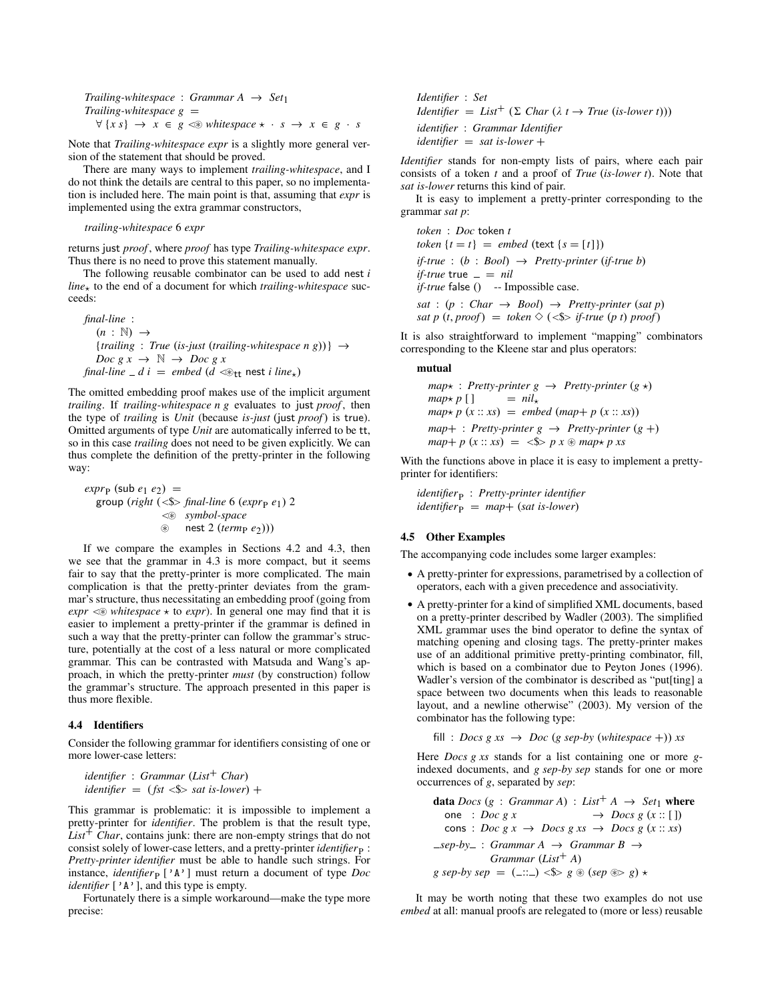*Trailing-whitespace* : *Grammar A*  $\rightarrow$  *Set*<sub>1</sub> *Trailing-whitespace*  $g =$  $\forall \{x s\} \rightarrow x \in g \Leftrightarrow \text{whitespace} \star \cdot s \rightarrow x \in g \cdot s$ 

Note that *Trailing-whitespace expr* is a slightly more general version of the statement that should be proved.

There are many ways to implement *trailing-whitespace*, and I do not think the details are central to this paper, so no implementation is included here. The main point is that, assuming that *expr* is implemented using the extra grammar constructors,

*trailing-whitespace* 6 *expr*

returns just *proof* , where *proof* has type *Trailing-whitespace expr*. Thus there is no need to prove this statement manually.

The following reusable combinator can be used to add nest *i*  $line_{\star}$  to the end of a document for which *trailing-whitespace* succeeds:

```
final-line :
   (n : \mathbb{N}) \rightarrow{trailing : True (is-just (trailing-whitespace n g))} →
   Doc g x \rightarrow \mathbb{N} \rightarrow \text{Doc } g x\intfinal-line -d i = embed (d <\otimes<sub>tt</sub> nest i line<sub>*</sub>)
```
The omitted embedding proof makes use of the implicit argument *trailing*. If *trailing-whitespace n g* evaluates to just *proof*, then the type of *trailing* is *Unit* (because *is-just* (just *proof*) is true). Omitted arguments of type *Unit* are automatically inferred to be tt, so in this case *trailing* does not need to be given explicitly. We can thus complete the definition of the pretty-printer in the following way:

 $\exp r_{\rm P}$  (sub  $e_1$   $e_2$ ) = group (*right* (<\$> *final-line* 6 (*expr<sub>P</sub> e*<sub>1</sub>) 2 <~ *symbol-space* ~ nest 2 (*term*<sup>P</sup> *e*2)))

If we compare the examples in Sections [4.2](#page-4-1) and [4.3,](#page-5-0) then we see that the grammar in [4.3](#page-5-0) is more compact, but it seems fair to say that the pretty-printer is more complicated. The main complication is that the pretty-printer deviates from the grammar's structure, thus necessitating an embedding proof (going from  $expr \lll$  *whitespace*  $\star$  to *expr*). In general one may find that it is easier to implement a pretty-printer if the grammar is defined in such a way that the pretty-printer can follow the grammar's structure, potentially at the cost of a less natural or more complicated grammar. This can be contrasted with [Matsuda and Wang'](#page-10-3)s approach, in which the pretty-printer *must* (by construction) follow the grammar's structure. The approach presented in this paper is thus more flexible.

#### <span id="page-6-0"></span>4.4 Identifiers

Consider the following grammar for identifiers consisting of one or more lower-case letters:

```
identifier : Grammar (List+ Char)
identifier = (fst < \$ sat is-lower) +
```
This grammar is problematic: it is impossible to implement a pretty-printer for *identifier*. The problem is that the result type,  $List<sup>+</sup> Char$ , contains junk: there are non-empty strings that do not consist solely of lower-case letters, and a pretty-printer *identifier* p: *Pretty-printer identifier* must be able to handle such strings. For instance, *identifier*  $[\,{}'A$ <sup>,</sup>  $]$  must return a document of type *Doc identifier* ['A'], and this type is empty.

Fortunately there is a simple workaround—make the type more precise:

*Identifier* : *Set Identifier* = *List<sup>+</sup>* ( $\Sigma$  *Char* ( $\lambda$  *t*  $\rightarrow$  *True* (*is-lower t*))) *identifier* : *Grammar Identifier identifier* = *sat is-lower* +

*Identifier* stands for non-empty lists of pairs, where each pair consists of a token *t* and a proof of *True* (*is-lower t*). Note that *sat is-lower* returns this kind of pair.

It is easy to implement a pretty-printer corresponding to the grammar *sat p*:

*token* : *Doc* token *t token*  $\{t = t\}$  = *embed* (text  $\{s = [t]\}$ ) *if-true* : (*b* : *Bool*) → *Pretty-printer* (*if-true b*) *if-true* true  $=$   $=$  *nil if-true* false () -- Impossible case.  $sat : (p : Char \rightarrow Bool) \rightarrow Pretty-printer (sat p)$ *sat p* (*t*, *proof*) = *token*  $\Diamond$  (<\$> *if-true* (*p t*) *proof*)

It is also straightforward to implement "mapping" combinators corresponding to the Kleene star and plus operators:

#### mutual

 $map*$ : *Pretty-printer*  $g \rightarrow$  *Pretty-printer*  $(g \star)$  $map \star p$  [ ] =  $nil_{\star}$  $map \uparrow p$  (*x* :: *xs*) = *embed* (*map*+ *p* (*x* :: *xs*))  $map+$ : *Pretty-printer*  $g \rightarrow$  *Pretty-printer*  $(g +)$  $map + p(x : x) = \langle x \rangle p x \otimes map + p x$ 

With the functions above in place it is easy to implement a prettyprinter for identifiers:

*identifier*<sup>P</sup> : *Pretty-printer identifier*  $identityier_{\text{P}} = map + (sat\ is\-lower)$ 

#### <span id="page-6-1"></span>4.5 Other Examples

The accompanying code includes some larger examples:

- A pretty-printer for expressions, parametrised by a collection of operators, each with a given precedence and associativity.
- A pretty-printer for a kind of simplified XML documents, based on a pretty-printer described by [Wadler](#page-11-0) [\(2003\)](#page-11-0). The simplified XML grammar uses the bind operator to define the syntax of matching opening and closing tags. The pretty-printer makes use of an additional primitive pretty-printing combinator, fill, which is based on a combinator due to [Peyton Jones](#page-10-8) [\(1996\)](#page-10-8). [Wadler'](#page-11-0)s version of the combinator is described as "put[ting] a space between two documents when this leads to reasonable layout, and a newline otherwise" [\(2003\)](#page-11-0). My version of the combinator has the following type:

$$
fill: \textit{Docs} \textit{g} \textit{xs} \rightarrow \textit{Doc} \textit{(g sep-by (whitespace +))} \textit{xs}
$$

Here *Docs g xs* stands for a list containing one or more *g*indexed documents, and *g sep-by sep* stands for one or more occurrences of *g*, separated by *sep*:

**data** *Does* (*g* : *Grammar A*) : *List*<sup>+</sup> *A* → *Set*<sub>1</sub> **where**  
one : *Doc g x* → *Doc g (x :: []*)  
cons : *Doc g x* → *Doc g xs* → *Docs g (x :: xs)*  
*sep-by* : *Grammar A* → *Grammar B* →  
*Grammar (List*<sup>+</sup> *A*)  
*g sep-by sep* = (...) 
$$
\langle \$\rangle
$$
 *g* ⊗ *(sep* ⊕ & *g*)  $\star$ 

It may be worth noting that these two examples do not use *embed* at all: manual proofs are relegated to (more or less) reusable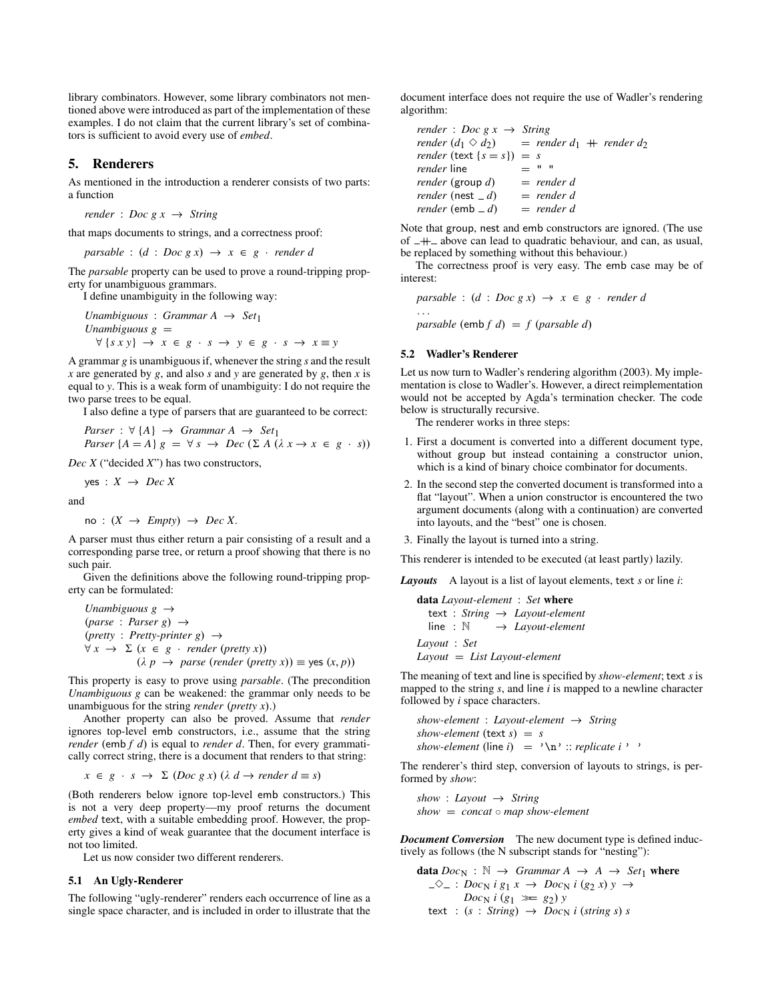library combinators. However, some library combinators not mentioned above were introduced as part of the implementation of these examples. I do not claim that the current library's set of combinators is sufficient to avoid every use of *embed*.

### <span id="page-7-0"></span>5. Renderers

As mentioned in the introduction a renderer consists of two parts: a function

*render* : *Doc g x*  $\rightarrow$  *String* 

that maps documents to strings, and a correctness proof:

 $parsable : (d : Doc g x) \rightarrow x \in g \cdot render d$ 

The *parsable* property can be used to prove a round-tripping property for unambiguous grammars.

I define unambiguity in the following way:

*Unambiguous* : *Grammar A*  $\rightarrow$  *Set*<sub>1</sub>  $Unambiguous g =$  $\forall$  {*sxy*}  $\rightarrow$  *x*  $\in$  *g* · *s*  $\rightarrow$  *y*  $\in$  *g* · *s*  $\rightarrow$  *x*  $\equiv$  *y* 

A grammar *g* is unambiguous if, whenever the string *s* and the result *x* are generated by *g*, and also *s* and *y* are generated by *g*, then *x* is equal to *y*. This is a weak form of unambiguity: I do not require the two parse trees to be equal.

I also define a type of parsers that are guaranteed to be correct:

*Parser* : 
$$
\forall
$$
 {*A*} → *Grammar A* → *Set*<sub>1</sub>  
*Parser* {*A* = *A*} *g* =  $\forall$  *s* → *Dec* ( $\Sigma$  *A* ( $\lambda$  *x* → *x* ∈ *g* · *s*))

*Dec X* ("decided *X*") has two constructors,

 $yes: X \rightarrow Dec X$ 

and

$$
no: (X \rightarrow \text{Empty}) \rightarrow \text{Dec } X.
$$

A parser must thus either return a pair consisting of a result and a corresponding parse tree, or return a proof showing that there is no such pair.

Given the definitions above the following round-tripping property can be formulated:

*Unambiguous g* → (*parse* : *Parser g*) → (*pretty* : *Pretty-printer g*) →  $\forall x \rightarrow \Sigma (x \in g \cdot \text{render (pretry x)})$  $(\lambda p \rightarrow parse (render (pretty x)) \equiv yes (x, p))$ 

This property is easy to prove using *parsable*. (The precondition *Unambiguous g* can be weakened: the grammar only needs to be unambiguous for the string *render* (*pretty x*).)

Another property can also be proved. Assume that *render* ignores top-level emb constructors, i.e., assume that the string *render* (emb *f d*) is equal to *render d*. Then, for every grammatically correct string, there is a document that renders to that string:

$$
x \in g \cdot s \rightarrow \Sigma
$$
 (Doc g x) ( $\lambda d \rightarrow$  render  $d \equiv s$ )

(Both renderers below ignore top-level emb constructors.) This is not a very deep property—my proof returns the document *embed* text, with a suitable embedding proof. However, the property gives a kind of weak guarantee that the document interface is not too limited.

Let us now consider two different renderers.

#### 5.1 An Ugly-Renderer

The following "ugly-renderer" renders each occurrence of line as a single space character, and is included in order to illustrate that the document interface does not require the use of [Wadler'](#page-11-0)s rendering algorithm:

\n
$$
\text{render}: \text{Doc } g \times \rightarrow \text{String}
$$
\n

\n\n $\text{render } (d_1 \otimes d_2) = \text{render } d_1 + \text{render } d_2$ \n

\n\n $\text{render}(\text{text } \{s = s\}) = s$ \n

\n\n $\text{render line} = \text{m} \cdot \text{m}$ \n

\n\n $\text{render}(\text{group } d) = \text{render } d$ \n

\n\n $\text{render}(\text{nest } -d) = \text{render } d$ \n

\n\n $\text{render}(\text{emb } -d) = \text{render } d$ \n

Note that group, nest and emb constructors are ignored. (The use of  $+$  above can lead to quadratic behaviour, and can, as usual, be replaced by something without this behaviour.)

The correctness proof is very easy. The emb case may be of interest:

 $parsable : (d : Doc g x) \rightarrow x \in g \cdot render d$ . . .

*parsable* (emb  $f$   $d$ ) =  $f$  (*parsable d*)

### <span id="page-7-1"></span>5.2 [Wadler'](#page-11-0)s Renderer

Let us now turn to [Wadler'](#page-11-0)s rendering algorithm [\(2003\)](#page-11-0). My implementation is close to [Wadler'](#page-11-0)s. However, a direct reimplementation would not be accepted by Agda's termination checker. The code below is structurally recursive.

The renderer works in three steps:

- 1. First a document is converted into a different document type, without group but instead containing a constructor union, which is a kind of binary choice combinator for documents.
- 2. In the second step the converted document is transformed into a flat "layout". When a union constructor is encountered the two argument documents (along with a continuation) are converted into layouts, and the "best" one is chosen.

3. Finally the layout is turned into a string.

This renderer is intended to be executed (at least partly) lazily.

*Layouts* A layout is a list of layout elements, text *s* or line *i*:

```
data Layout-element : Set where
  text : String → Layout-element
  line : N → Layout-element
Layout : Set
Layout = List Layout-element
```
The meaning of text and line is specified by *show-element*; text *s* is mapped to the string *s*, and line *i* is mapped to a newline character followed by *i* space characters.

*show-element* : *Layout-element* → *String*  $show-element$  (text  $s$ ) =  $s$ *show-element* (line  $i$ ) =  $\ln$  :: *replicate*  $i$ , <sup>3</sup>

The renderer's third step, conversion of layouts to strings, is performed by *show*:

*show* : *Layout* → *String show* = *concat* ◦ *map show-element*

*Document Conversion* The new document type is defined inductively as follows (the N subscript stands for "nesting"):

**data** 
$$
Doc_N : \mathbb{N} \to Grammar A \to A \to Set_1
$$
 where  
\n $\neg \Diamond \neg : Doc_N i g_1 x \to Doc_N i (g_2 x) y \to$   
\n $Doc_N i (g_1 \gg g_2) y$   
\ntext :  $(s : String) \to Doc_N i (string s) s$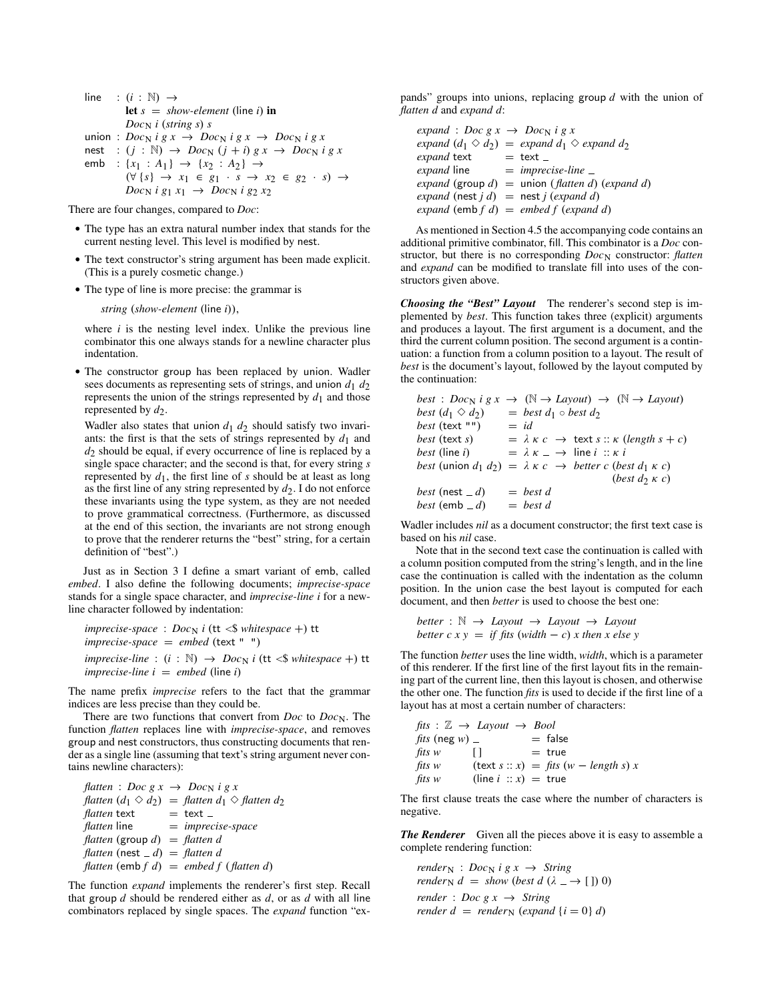line :  $(i : \mathbb{N}) \rightarrow$ let  $s = show-element$  (line *i*) in  $Doc<sub>N</sub>$  *i* (*string s*) *s* union :  $Doc_N$  *i* g x  $\rightarrow$   $Doc_N$  *i* g x  $\rightarrow$   $Doc_N$  *i* g x nest :  $(j : \mathbb{N}) \rightarrow Doc_{\mathbb{N}}(j + i) g x \rightarrow Doc_{\mathbb{N}} i g x$ emb : { $x_1$  :  $A_1$ } → { $x_2$  :  $A_2$ } → (∀ {*s*} → *x*<sup>1</sup> ∈ *g*<sup>1</sup> · *s* → *x*<sup>2</sup> ∈ *g*<sup>2</sup> · *s*) →  $Doc_N$  *i*  $g_1 x_1 \rightarrow Doc_N$  *i*  $g_2 x_2$ 

There are four changes, compared to *Doc*:

- The type has an extra natural number index that stands for the current nesting level. This level is modified by nest.
- The text constructor's string argument has been made explicit. (This is a purely cosmetic change.)
- The type of line is more precise: the grammar is

*string* (*show-element* (line *i*)),

where  $i$  is the nesting level index. Unlike the previous line combinator this one always stands for a newline character plus indentation.

• The constructor group has been replaced by union. [Wadler](#page-11-0) sees documents as representing sets of strings, and union  $d_1$   $d_2$ represents the union of the strings represented by  $d_1$  and those represented by  $d_2$ .

[Wadler](#page-11-0) also states that union  $d_1$   $d_2$  should satisfy two invariants: the first is that the sets of strings represented by  $d_1$  and *d*2 should be equal, if every occurrence of line is replaced by a single space character; and the second is that, for every string *s* represented by  $d_1$ , the first line of *s* should be at least as long as the first line of any string represented by  $d_2$ . I do not enforce these invariants using the type system, as they are not needed to prove grammatical correctness. (Furthermore, as discussed at the end of this section, the invariants are not strong enough to prove that the renderer returns the "best" string, for a certain definition of "best".)

Just as in Section [3](#page-2-0) I define a smart variant of emb, called *embed*. I also define the following documents; *imprecise-space* stands for a single space character, and *imprecise-line i* for a newline character followed by indentation:

```
imprecise-space : Doc<sub>N</sub> i (tt <$ whitespace +) tt
imprecise-space = embed (text " ")
imprecise-line : (i : \mathbb{N}) \rightarrow Doc_{\mathbb{N}} i (tt < \$ whitespace +) ttimprecise-line i = embed (line i)
```
The name prefix *imprecise* refers to the fact that the grammar indices are less precise than they could be.

There are two functions that convert from *Doc* to *Doc*<sub>N</sub>. The function *flatten* replaces line with *imprecise-space*, and removes group and nest constructors, thus constructing documents that render as a single line (assuming that text's string argument never contains newline characters):

| flatten : Doc $gx \rightarrow Doc_N$ i g x |                                                                     |
|--------------------------------------------|---------------------------------------------------------------------|
|                                            | flatten $(d_1 \diamond d_2) =$ flatten $d_1 \diamond$ flatten $d_2$ |
| <i>flatten</i> text                        | $=$ text $=$                                                        |
| <i>flatten</i> line                        | $=$ imprecise-space                                                 |
| flatten (group d) = flatten d              |                                                                     |
| flatten (nest $=d$ ) = flatten d           |                                                                     |
|                                            | flatten (emb $f$ d) = embed $f$ (flatten d)                         |

The function *expand* implements the renderer's first step. Recall that group *d* should be rendered either as *d*, or as *d* with all line combinators replaced by single spaces. The *expand* function "expands" groups into unions, replacing group *d* with the union of *flatten d* and *expand d*:

| expand : Doc g $x \to Doc_N$ i g x            |                                                                             |
|-----------------------------------------------|-----------------------------------------------------------------------------|
|                                               | expand $(d_1 \Diamond d_2) =$ expand $d_1 \Diamond$ expand $d_2$            |
| expand text                                   | $=$ text $=$                                                                |
| <i>expand</i> line                            | $=$ imprecise-line $=$                                                      |
|                                               | <i>expand</i> (group $d$ ) = union ( <i>flatten d</i> ) ( <i>expand d</i> ) |
| expand (nest $j d$ ) = nest $j$ (expand $d$ ) |                                                                             |
|                                               | expand $(emb f d) = embed f (expand d)$                                     |

As mentioned in Section [4.5](#page-6-1) the accompanying code contains an additional primitive combinator, fill. This combinator is a *Doc* constructor, but there is no corresponding *Doc<sub>N</sub>* constructor: *flatten* and *expand* can be modified to translate fill into uses of the constructors given above.

*Choosing the "Best" Layout* The renderer's second step is implemented by *best*. This function takes three (explicit) arguments and produces a layout. The first argument is a document, and the third the current column position. The second argument is a continuation: a function from a column position to a layout. The result of *best* is the document's layout, followed by the layout computed by the continuation:

```
best : Doc<sub>N</sub> i g x \rightarrow (\mathbb{N} \rightarrow \text{Layout}) \rightarrow (\mathbb{N} \rightarrow \text{Layout})best (d_1 \Diamond d_2) = best d_1 \circ best d_2<br>best (text "") = id
best (text "")<br>best (text s)
                             = \lambda \kappa c \rightarrow text s :: \kappa (length s + c)
best (line i) = \lambda \kappa = \rightarrow line i :: \kappa ibest (union d_1 d_2) = \lambda \kappa c \rightarrow better c (best d_1 \kappa c)
                                                              (best d2 κ c)
best (nest -d) = best d
best (emb -d) = best d
```
[Wadler](#page-11-0) includes *nil* as a document constructor; the first text case is based on his *nil* case.

Note that in the second text case the continuation is called with a column position computed from the string's length, and in the line case the continuation is called with the indentation as the column position. In the union case the best layout is computed for each document, and then *better* is used to choose the best one:

$$
better: \mathbb{N} \to Layout \to Layout \to Layout
$$
  

$$
better c x y = if fits (width - c) x then x else y
$$

The function *better* uses the line width, *width*, which is a parameter of this renderer. If the first line of the first layout fits in the remaining part of the current line, then this layout is chosen, and otherwise the other one. The function *fits* is used to decide if the first line of a layout has at most a certain number of characters:

```
fits: \mathbb{Z} \rightarrow Lavour \rightarrow Boolfits (neg w) = false
fits w [ ] = true
fits w (text s :: x) = fits (w - length s) xfits w (line i : x) = true
```
The first clause treats the case where the number of characters is negative.

*The Renderer* Given all the pieces above it is easy to assemble a complete rendering function:

 $render_N$  : *Doc<sub>N</sub> i g x*  $\rightarrow$  *String render*<sub>N</sub>  $d = show$  (*best d* ( $\lambda \rightarrow$  []) 0) *render* : *Doc g x*  $\rightarrow$  *String render d* = *render*<sub>N</sub> (*expand* {*i* = 0} *d*)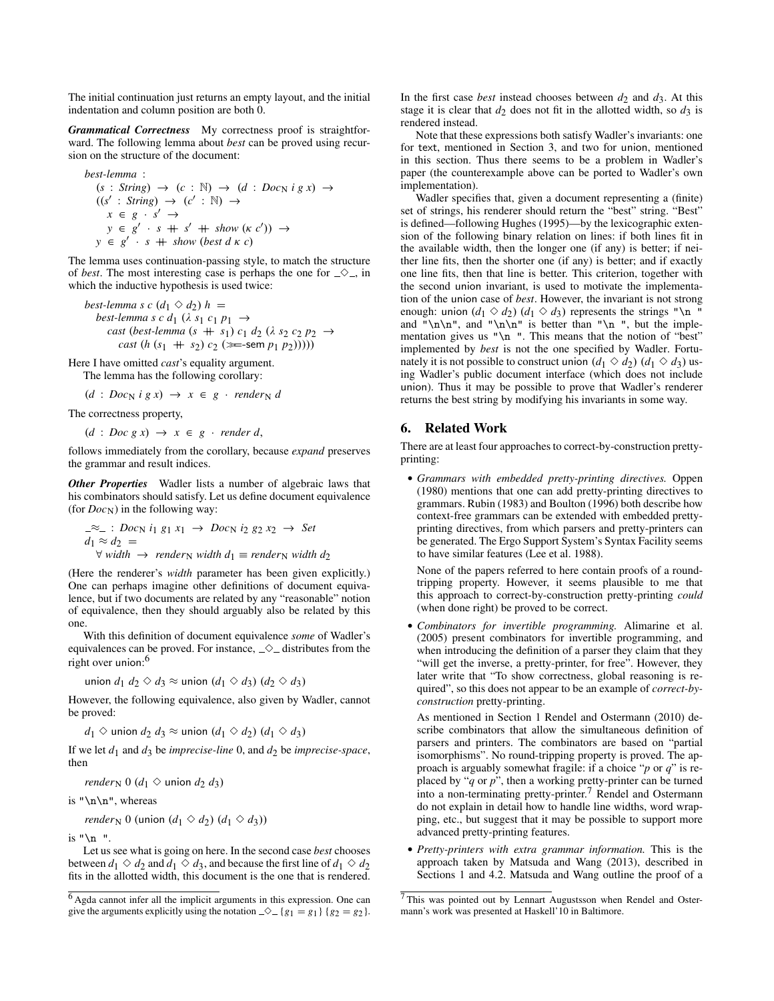The initial continuation just returns an empty layout, and the initial indentation and column position are both 0.

*Grammatical Correctness* My correctness proof is straightforward. The following lemma about *best* can be proved using recursion on the structure of the document:

best-lemma :  
\n
$$
(s : String) \rightarrow (c : \mathbb{N}) \rightarrow (d : Doc_N ig x) \rightarrow
$$
  
\n $((s' : String) \rightarrow (c' : \mathbb{N}) \rightarrow$   
\n $x \in g \cdot s' \rightarrow$   
\n $y \in g' \cdot s + s' + show (sc')) \rightarrow$   
\n $y \in g' \cdot s + show (best d \times c)$ 

The lemma uses continuation-passing style, to match the structure of *best*. The most interesting case is perhaps the one for  $\Diamond$ , in which the inductive hypothesis is used twice:

*best-lemma s c*  $(d_1 \diamond d_2) h =$ *best-lemma s c d*<sub>1</sub> ( $\lambda$  *s*<sub>1</sub> *c*<sub>1</sub> *p*<sub>1</sub>  $\rightarrow$  $\cos t$  (*best-lemma* ( $s + s_1$ )  $c_1 d_2$  ( $\lambda s_2 c_2 p_2 \rightarrow$ *cast*  $(h (s_1 + s_2) c_2$  ( $\equiv$ -sem  $p_1 (p_2))$ )))

Here I have omitted *cast*'s equality argument.

The lemma has the following corollary:

 $(d : Doc_N i g x) \rightarrow x \in g \cdot render_N d$ 

The correctness property,

 $(d : Doc g x) \rightarrow x \in g \cdot render d,$ 

follows immediately from the corollary, because *expand* preserves the grammar and result indices.

*Other Properties* [Wadler](#page-11-0) lists a number of algebraic laws that his combinators should satisfy. Let us define document equivalence (for  $Doc<sub>N</sub>$ ) in the following way:

$$
\begin{aligned}\n\mathcal{L} &\approx \quad : \text{Doc}_N \, i_1 \, g_1 \, x_1 \rightarrow \text{Doc}_N \, i_2 \, g_2 \, x_2 \rightarrow \text{Set} \\
d_1 &\approx d_2 = \\
\forall \text{ width} \rightarrow \text{ render}_N \, \text{width} \, d_1 \equiv \text{render}_N \, \text{width} \, d_2\n\end{aligned}
$$

(Here the renderer's *width* parameter has been given explicitly.) One can perhaps imagine other definitions of document equivalence, but if two documents are related by any "reasonable" notion of equivalence, then they should arguably also be related by this one.

With this definition of document equivalence *some* of [Wadler'](#page-11-0)s equivalences can be proved. For instance,  $\Diamond$  distributes from the right over union: [6](#page-9-1)

union  $d_1$   $d_2 \diamond d_3 \approx$  union  $(d_1 \diamond d_3)$   $(d_2 \diamond d_3)$ 

However, the following equivalence, also given by [Wadler,](#page-11-0) cannot be proved:

*d*<sub>1</sub> ♦ union *d*<sub>2</sub> *d*<sub>3</sub> ≈ union (*d*<sub>1</sub> ♦ *d*<sub>2</sub>) (*d*<sub>1</sub> ♦ *d*<sub>3</sub>)

If we let  $d_1$  and  $d_3$  be *imprecise-line* 0, and  $d_2$  be *imprecise-space*, then

*render*<sub>N</sub> 0 ( $d_1 \diamond$  union  $d_2$   $d_3$ )

is " $\n\ln$ ", whereas

*render*<sub>N</sub> 0 (union  $(d_1 \diamond d_2)$   $(d_1 \diamond d_3)$ )

is  $"\n\n\mathbf{n}$  ".

Let us see what is going on here. In the second case *best* chooses between  $d_1 \diamond d_2$  and  $d_1 \diamond d_3$ , and because the first line of  $d_1 \diamond d_2$ fits in the allotted width, this document is the one that is rendered. In the first case *best* instead chooses between  $d_2$  and  $d_3$ . At this stage it is clear that  $d_2$  does not fit in the allotted width, so  $d_3$  is rendered instead.

Note that these expressions both satisfy [Wadler'](#page-11-0)s invariants: one for text, mentioned in Section [3,](#page-2-0) and two for union, mentioned in this section. Thus there seems to be a problem in [Wadler'](#page-11-0)s paper (the counterexample above can be ported to [Wadler'](#page-11-0)s own implementation).

[Wadler](#page-11-0) specifies that, given a document representing a (finite) set of strings, his renderer should return the "best" string. "Best" is defined—following [Hughes](#page-10-1) [\(1995\)](#page-10-1)—by the lexicographic extension of the following binary relation on lines: if both lines fit in the available width, then the longer one (if any) is better; if neither line fits, then the shorter one (if any) is better; and if exactly one line fits, then that line is better. This criterion, together with the second union invariant, is used to motivate the implementation of the union case of *best*. However, the invariant is not strong enough: union  $(d_1 \otimes d_2)$   $(d_1 \otimes d_3)$  represents the strings "\n and " $\n\lambda$ ", and " $\n\lambda$ " is better than " $\n\lambda$ ", but the implementation gives us " $\n\lambda$ ". This means that the notion of "best" implemented by *best* is not the one specified by [Wadler.](#page-11-0) Fortunately it is not possible to construct union  $(d_1 \diamond d_2)$   $(d_1 \diamond d_3)$  using [Wadler'](#page-11-0)s public document interface (which does not include union). Thus it may be possible to prove that [Wadler'](#page-11-0)s renderer returns the best string by modifying his invariants in some way.

## <span id="page-9-0"></span>6. Related Work

There are at least four approaches to correct-by-construction prettyprinting:

• *Grammars with embedded pretty-printing directives.* [Oppen](#page-10-0) [\(1980\)](#page-10-0) mentions that one can add pretty-printing directives to grammars. [Rubin](#page-11-2) [\(1983\)](#page-11-2) and [Boulton](#page-10-4) [\(1996\)](#page-10-4) both describe how context-free grammars can be extended with embedded prettyprinting directives, from which parsers and pretty-printers can be generated. The Ergo Support System's Syntax Facility seems to have similar features [\(Lee et al. 1988\)](#page-10-9).

None of the papers referred to here contain proofs of a roundtripping property. However, it seems plausible to me that this approach to correct-by-construction pretty-printing *could* (when done right) be proved to be correct.

• *Combinators for invertible programming.* [Alimarine et al.](#page-10-10) [\(2005\)](#page-10-10) present combinators for invertible programming, and when introducing the definition of a parser they claim that they "will get the inverse, a pretty-printer, for free". However, they later write that "To show correctness, global reasoning is required", so this does not appear to be an example of *correct-byconstruction* pretty-printing.

As mentioned in Section [1](#page-0-0) [Rendel and Ostermann](#page-10-2) [\(2010\)](#page-10-2) describe combinators that allow the simultaneous definition of parsers and printers. The combinators are based on "partial isomorphisms". No round-tripping property is proved. The approach is arguably somewhat fragile: if a choice "*p* or *q*" is replaced by "*q* or *p*", then a working pretty-printer can be turned into a non-terminating pretty-printer.<sup>[7](#page-9-2)</sup> [Rendel and Ostermann](#page-10-2) do not explain in detail how to handle line widths, word wrapping, etc., but suggest that it may be possible to support more advanced pretty-printing features.

• *Pretty-printers with extra grammar information.* This is the approach taken by [Matsuda and Wang](#page-10-3) [\(2013\)](#page-10-3), described in Sections [1](#page-0-0) and [4.2.](#page-4-1) [Matsuda and Wang](#page-10-3) outline the proof of a

<span id="page-9-1"></span><sup>6</sup> Agda cannot infer all the implicit arguments in this expression. One can give the arguments explicitly using the notation  $\Diamond$   $\Diamond$  {*g*<sub>1</sub> = *g*<sub>1</sub> } {*g*<sub>2</sub> = *g*<sub>2</sub> }.

<span id="page-9-2"></span><sup>7</sup> This was pointed out by Lennart Augustsson when [Rendel and Oster](#page-10-2)[mann'](#page-10-2)s work was presented at Haskell'10 in Baltimore.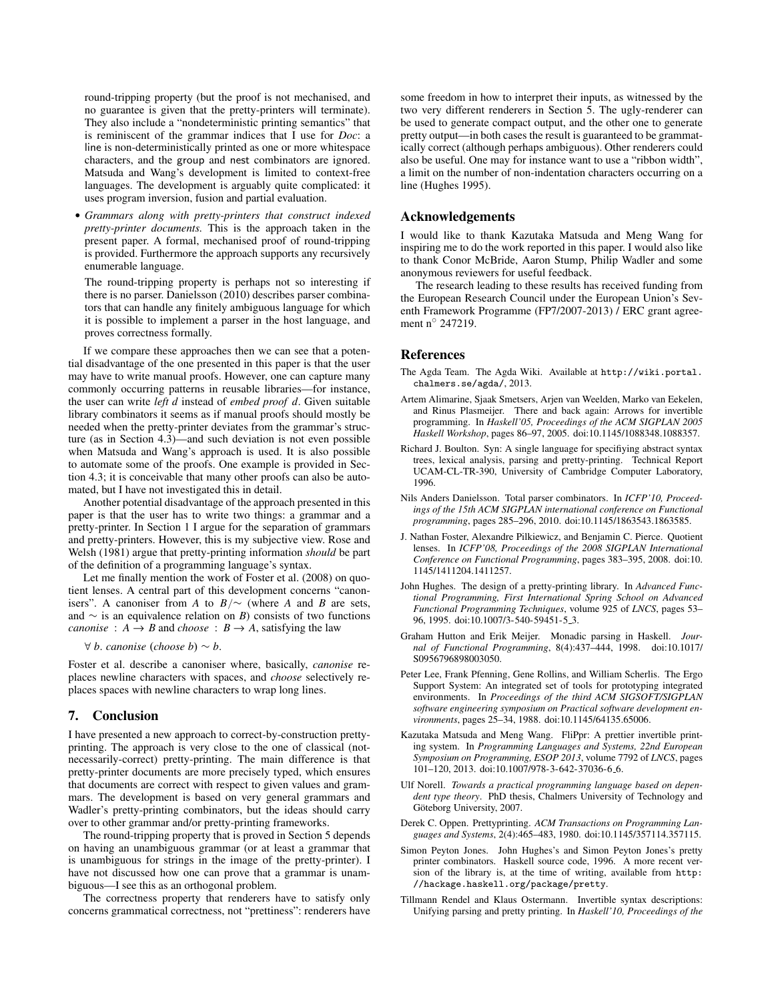round-tripping property (but the proof is not mechanised, and no guarantee is given that the pretty-printers will terminate). They also include a "nondeterministic printing semantics" that is reminiscent of the grammar indices that I use for *Doc*: a line is non-deterministically printed as one or more whitespace characters, and the group and nest combinators are ignored. [Matsuda and Wang'](#page-10-3)s development is limited to context-free languages. The development is arguably quite complicated: it uses program inversion, fusion and partial evaluation.

• *Grammars along with pretty-printers that construct indexed pretty-printer documents.* This is the approach taken in the present paper. A formal, mechanised proof of round-tripping is provided. Furthermore the approach supports any recursively enumerable language.

The round-tripping property is perhaps not so interesting if there is no parser. [Danielsson](#page-10-11) [\(2010\)](#page-10-11) describes parser combinators that can handle any finitely ambiguous language for which it is possible to implement a parser in the host language, and proves correctness formally.

If we compare these approaches then we can see that a potential disadvantage of the one presented in this paper is that the user may have to write manual proofs. However, one can capture many commonly occurring patterns in reusable libraries—for instance, the user can write *left d* instead of *embed proof d*. Given suitable library combinators it seems as if manual proofs should mostly be needed when the pretty-printer deviates from the grammar's structure (as in Section [4.3\)](#page-5-0)—and such deviation is not even possible when [Matsuda and Wang'](#page-10-3)s approach is used. It is also possible to automate some of the proofs. One example is provided in Section [4.3;](#page-5-0) it is conceivable that many other proofs can also be automated, but I have not investigated this in detail.

Another potential disadvantage of the approach presented in this paper is that the user has to write two things: a grammar and a pretty-printer. In Section [1](#page-0-0) I argue for the separation of grammars and pretty-printers. However, this is my subjective view. [Rose and](#page-11-3) [Welsh](#page-11-3) [\(1981\)](#page-11-3) argue that pretty-printing information *should* be part of the definition of a programming language's syntax.

Let me finally mention the work of [Foster et al.](#page-10-12) [\(2008\)](#page-10-12) on quotient lenses. A central part of this development concerns "canonisers". A canoniser from *A* to  $B/\sim$  (where *A* and *B* are sets, and ∼ is an equivalence relation on *B*) consists of two functions *canonise* :  $A \rightarrow B$  and *choose* :  $B \rightarrow A$ , satisfying the law

∀ *b*. *canonise* (*choose b*) ∼ *b*.

[Foster et al.](#page-10-12) describe a canoniser where, basically, *canonise* replaces newline characters with spaces, and *choose* selectively replaces spaces with newline characters to wrap long lines.

## 7. Conclusion

I have presented a new approach to correct-by-construction prettyprinting. The approach is very close to the one of classical (notnecessarily-correct) pretty-printing. The main difference is that pretty-printer documents are more precisely typed, which ensures that documents are correct with respect to given values and grammars. The development is based on very general grammars and [Wadler'](#page-11-0)s pretty-printing combinators, but the ideas should carry over to other grammar and/or pretty-printing frameworks.

The round-tripping property that is proved in Section [5](#page-7-0) depends on having an unambiguous grammar (or at least a grammar that is unambiguous for strings in the image of the pretty-printer). I have not discussed how one can prove that a grammar is unambiguous—I see this as an orthogonal problem.

The correctness property that renderers have to satisfy only concerns grammatical correctness, not "prettiness": renderers have

some freedom in how to interpret their inputs, as witnessed by the two very different renderers in Section [5.](#page-7-0) The ugly-renderer can be used to generate compact output, and the other one to generate pretty output—in both cases the result is guaranteed to be grammatically correct (although perhaps ambiguous). Other renderers could also be useful. One may for instance want to use a "ribbon width", a limit on the number of non-indentation characters occurring on a line [\(Hughes 1995\)](#page-10-1).

#### Acknowledgements

I would like to thank Kazutaka Matsuda and Meng Wang for inspiring me to do the work reported in this paper. I would also like to thank Conor McBride, Aaron Stump, Philip Wadler and some anonymous reviewers for useful feedback.

The research leading to these results has received funding from the European Research Council under the European Union's Seventh Framework Programme (FP7/2007-2013) / ERC grant agreement n◦ 247219.

## References

- <span id="page-10-6"></span>The Agda Team. The Agda Wiki. Available at [http://wiki.portal.](http://wiki.portal.chalmers.se/agda/) [chalmers.se/agda/](http://wiki.portal.chalmers.se/agda/), 2013.
- <span id="page-10-10"></span>Artem Alimarine, Sjaak Smetsers, Arjen van Weelden, Marko van Eekelen, and Rinus Plasmeijer. There and back again: Arrows for invertible programming. In *Haskell'05, Proceedings of the ACM SIGPLAN 2005 Haskell Workshop*, pages 86–97, 2005. doi[:10.1145/1088348.1088357.](http://dx.doi.org/10.1145/1088348.1088357)
- <span id="page-10-4"></span>Richard J. Boulton. Syn: A single language for specifiying abstract syntax trees, lexical analysis, parsing and pretty-printing. Technical Report UCAM-CL-TR-390, University of Cambridge Computer Laboratory, 1996.
- <span id="page-10-11"></span>Nils Anders Danielsson. Total parser combinators. In *ICFP'10, Proceedings of the 15th ACM SIGPLAN international conference on Functional programming*, pages 285–296, 2010. doi[:10.1145/1863543.1863585.](http://dx.doi.org/10.1145/1863543.1863585)
- <span id="page-10-12"></span>J. Nathan Foster, Alexandre Pilkiewicz, and Benjamin C. Pierce. Quotient lenses. In *ICFP'08, Proceedings of the 2008 SIGPLAN International Conference on Functional Programming*, pages 383–395, 2008. doi[:10.](http://dx.doi.org/10.1145/1411204.1411257) [1145/1411204.1411257.](http://dx.doi.org/10.1145/1411204.1411257)
- <span id="page-10-1"></span>John Hughes. The design of a pretty-printing library. In *Advanced Functional Programming, First International Spring School on Advanced Functional Programming Techniques*, volume 925 of *LNCS*, pages 53– 96, 1995. doi[:10.1007/3-540-59451-5](http://dx.doi.org/10.1007/3-540-59451-5_3) 3.
- <span id="page-10-7"></span>Graham Hutton and Erik Meijer. Monadic parsing in Haskell. *Journal of Functional Programming*, 8(4):437–444, 1998. doi[:10.1017/](http://dx.doi.org/10.1017/S0956796898003050) [S0956796898003050.](http://dx.doi.org/10.1017/S0956796898003050)
- <span id="page-10-9"></span>Peter Lee, Frank Pfenning, Gene Rollins, and William Scherlis. The Ergo Support System: An integrated set of tools for prototyping integrated environments. In *Proceedings of the third ACM SIGSOFT/SIGPLAN software engineering symposium on Practical software development environments*, pages 25–34, 1988. doi[:10.1145/64135.65006.](http://dx.doi.org/10.1145/64135.65006)
- <span id="page-10-3"></span>Kazutaka Matsuda and Meng Wang. FliPpr: A prettier invertible printing system. In *Programming Languages and Systems, 22nd European Symposium on Programming, ESOP 2013*, volume 7792 of *LNCS*, pages 101–120, 2013. doi[:10.1007/978-3-642-37036-6](http://dx.doi.org/10.1007/978-3-642-37036-6_6) 6.
- <span id="page-10-5"></span>Ulf Norell. *Towards a practical programming language based on dependent type theory*. PhD thesis, Chalmers University of Technology and Göteborg University, 2007.
- <span id="page-10-0"></span>Derek C. Oppen. Prettyprinting. *ACM Transactions on Programming Languages and Systems*, 2(4):465–483, 1980. doi[:10.1145/357114.357115.](http://dx.doi.org/10.1145/357114.357115)
- <span id="page-10-8"></span>Simon Peyton Jones. John Hughes's and Simon Peyton Jones's pretty printer combinators. Haskell source code, 1996. A more recent version of the library is, at the time of writing, available from [http:](http://hackage.haskell.org/package/pretty) [//hackage.haskell.org/package/pretty](http://hackage.haskell.org/package/pretty).
- <span id="page-10-2"></span>Tillmann Rendel and Klaus Ostermann. Invertible syntax descriptions: Unifying parsing and pretty printing. In *Haskell'10, Proceedings of the*